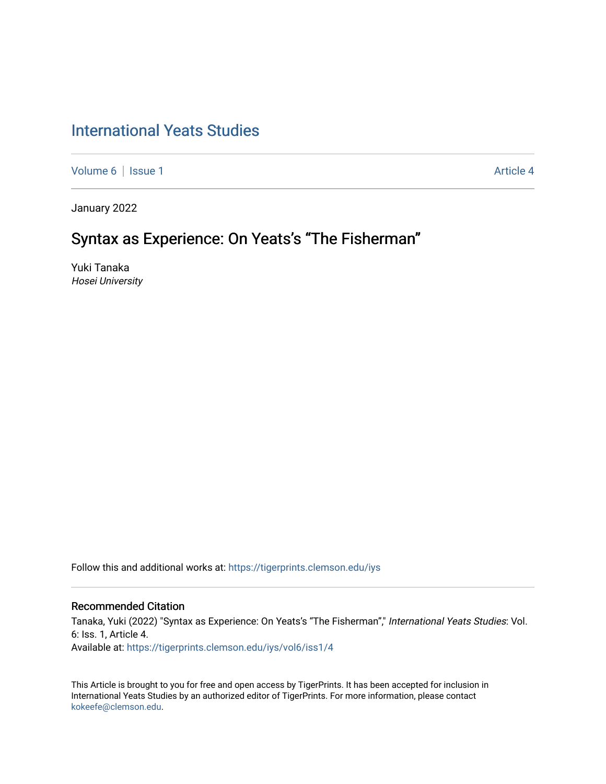# [International Yeats Studies](https://tigerprints.clemson.edu/iys)

[Volume 6](https://tigerprints.clemson.edu/iys/vol6) | [Issue 1](https://tigerprints.clemson.edu/iys/vol6/iss1) Article 4

January 2022

# Syntax as Experience: On Yeats's "The Fisherman"

Yuki Tanaka Hosei University

Follow this and additional works at: [https://tigerprints.clemson.edu/iys](https://tigerprints.clemson.edu/iys?utm_source=tigerprints.clemson.edu%2Fiys%2Fvol6%2Fiss1%2F4&utm_medium=PDF&utm_campaign=PDFCoverPages) 

## Recommended Citation

Tanaka, Yuki (2022) "Syntax as Experience: On Yeats's "The Fisherman"," International Yeats Studies: Vol. 6: Iss. 1, Article 4. Available at: [https://tigerprints.clemson.edu/iys/vol6/iss1/4](https://tigerprints.clemson.edu/iys/vol6/iss1/4?utm_source=tigerprints.clemson.edu%2Fiys%2Fvol6%2Fiss1%2F4&utm_medium=PDF&utm_campaign=PDFCoverPages) 

This Article is brought to you for free and open access by TigerPrints. It has been accepted for inclusion in International Yeats Studies by an authorized editor of TigerPrints. For more information, please contact [kokeefe@clemson.edu](mailto:kokeefe@clemson.edu).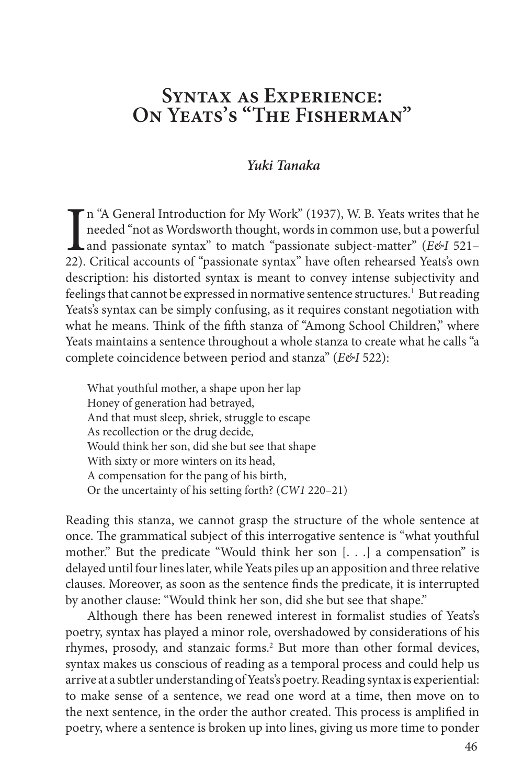## **Syntax as Experience: On Yeats's "The Fisherman"**

### *Yuki Tanaka*

In "A General Introduction for My Work" (1937), W. B. Yeats writes that he needed "not as Wordsworth thought, words in common use, but a powerful and passionate syntax" to match "passionate subject-matter" (*E&I* 521–22). n "A General Introduction for My Work" (1937), W. B. Yeats writes that he needed "not as Wordsworth thought, words in common use, but a powerful and passionate syntax" to match "passionate subject-matter" (*E&I* 521– description: his distorted syntax is meant to convey intense subjectivity and feelings that cannot be expressed in normative sentence structures.<sup>1</sup> But reading Yeats's syntax can be simply confusing, as it requires constant negotiation with what he means. Think of the fifth stanza of "Among School Children," where Yeats maintains a sentence throughout a whole stanza to create what he calls "a complete coincidence between period and stanza" (*E&I* 522):

What youthful mother, a shape upon her lap Honey of generation had betrayed, And that must sleep, shriek, struggle to escape As recollection or the drug decide, Would think her son, did she but see that shape With sixty or more winters on its head, A compensation for the pang of his birth, Or the uncertainty of his setting forth? (*CW1* 220–21)

Reading this stanza, we cannot grasp the structure of the whole sentence at once. The grammatical subject of this interrogative sentence is "what youthful mother." But the predicate "Would think her son [. . .] a compensation" is delayed until four lines later, while Yeats piles up an apposition and three relative clauses. Moreover, as soon as the sentence finds the predicate, it is interrupted by another clause: "Would think her son, did she but see that shape."

Although there has been renewed interest in formalist studies of Yeats's poetry, syntax has played a minor role, overshadowed by considerations of his rhymes, prosody, and stanzaic forms.<sup>2</sup> But more than other formal devices, syntax makes us conscious of reading as a temporal process and could help us arrive at a subtler understanding of Yeats's poetry. Reading syntax is experiential: to make sense of a sentence, we read one word at a time, then move on to the next sentence, in the order the author created. This process is amplified in poetry, where a sentence is broken up into lines, giving us more time to ponder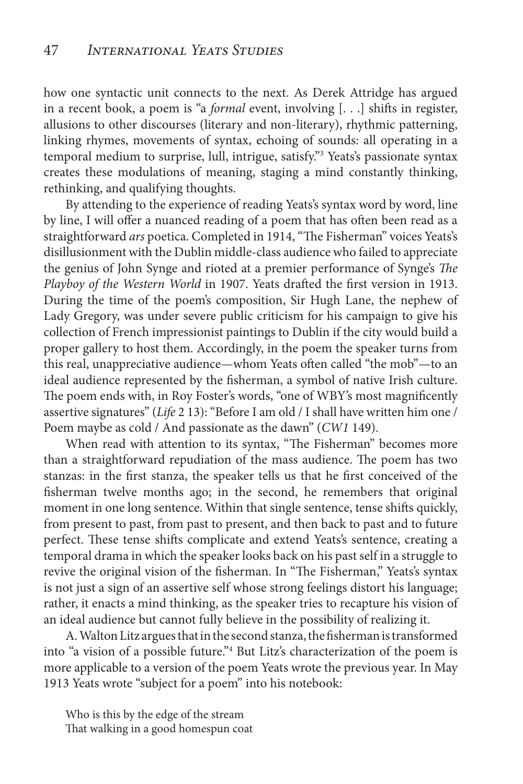how one syntactic unit connects to the next. As Derek Attridge has argued in a recent book, a poem is "a *formal* event, involving [. . .] shifts in register, allusions to other discourses (literary and non-literary), rhythmic patterning, linking rhymes, movements of syntax, echoing of sounds: all operating in a temporal medium to surprise, lull, intrigue, satisfy."3 Yeats's passionate syntax creates these modulations of meaning, staging a mind constantly thinking, rethinking, and qualifying thoughts.

By attending to the experience of reading Yeats's syntax word by word, line by line, I will offer a nuanced reading of a poem that has often been read as a straightforward *ars* poetica. Completed in 1914, "The Fisherman" voices Yeats's disillusionment with the Dublin middle-class audience who failed to appreciate the genius of John Synge and rioted at a premier performance of Synge's *The Playboy of the Western World* in 1907. Yeats drafted the first version in 1913. During the time of the poem's composition, Sir Hugh Lane, the nephew of Lady Gregory, was under severe public criticism for his campaign to give his collection of French impressionist paintings to Dublin if the city would build a proper gallery to host them. Accordingly, in the poem the speaker turns from this real, unappreciative audience—whom Yeats often called "the mob"—to an ideal audience represented by the fisherman, a symbol of native Irish culture. The poem ends with, in Roy Foster's words, "one of WBY's most magnificently assertive signatures" (*Life* 2 13): "Before I am old / I shall have written him one / Poem maybe as cold / And passionate as the dawn" (*CW1* 149).

When read with attention to its syntax, "The Fisherman" becomes more than a straightforward repudiation of the mass audience. The poem has two stanzas: in the first stanza, the speaker tells us that he first conceived of the fisherman twelve months ago; in the second, he remembers that original moment in one long sentence. Within that single sentence, tense shifts quickly, from present to past, from past to present, and then back to past and to future perfect. These tense shifts complicate and extend Yeats's sentence, creating a temporal drama in which the speaker looks back on his past self in a struggle to revive the original vision of the fisherman. In "The Fisherman," Yeats's syntax is not just a sign of an assertive self whose strong feelings distort his language; rather, it enacts a mind thinking, as the speaker tries to recapture his vision of an ideal audience but cannot fully believe in the possibility of realizing it.

A. Walton Litz argues that in the second stanza, the fisherman is transformed into "a vision of a possible future."4 But Litz's characterization of the poem is more applicable to a version of the poem Yeats wrote the previous year. In May 1913 Yeats wrote "subject for a poem" into his notebook:

Who is this by the edge of the stream That walking in a good homespun coat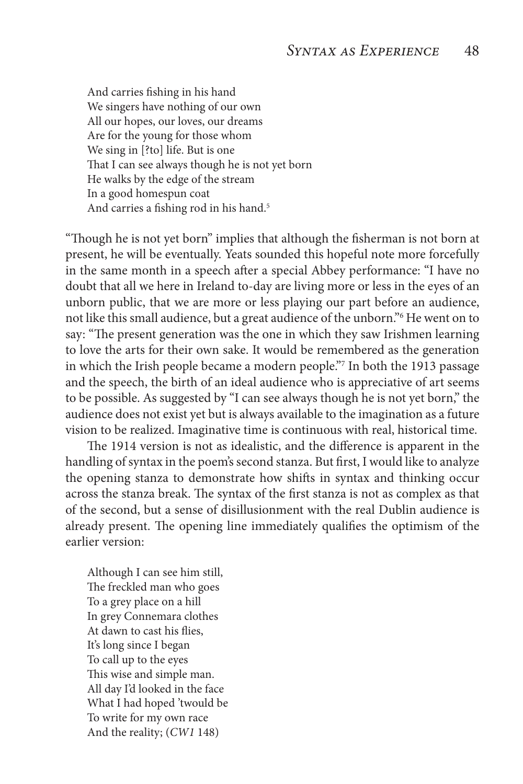And carries fishing in his hand We singers have nothing of our own All our hopes, our loves, our dreams Are for the young for those whom We sing in [?to] life. But is one That I can see always though he is not yet born He walks by the edge of the stream In a good homespun coat And carries a fishing rod in his hand.<sup>5</sup>

"Though he is not yet born" implies that although the fisherman is not born at present, he will be eventually. Yeats sounded this hopeful note more forcefully in the same month in a speech after a special Abbey performance: "I have no doubt that all we here in Ireland to-day are living more or less in the eyes of an unborn public, that we are more or less playing our part before an audience, not like this small audience, but a great audience of the unborn."6 He went on to say: "The present generation was the one in which they saw Irishmen learning to love the arts for their own sake. It would be remembered as the generation in which the Irish people became a modern people."7 In both the 1913 passage and the speech, the birth of an ideal audience who is appreciative of art seems to be possible. As suggested by "I can see always though he is not yet born," the audience does not exist yet but is always available to the imagination as a future vision to be realized. Imaginative time is continuous with real, historical time.

The 1914 version is not as idealistic, and the difference is apparent in the handling of syntax in the poem's second stanza. But first, I would like to analyze the opening stanza to demonstrate how shifts in syntax and thinking occur across the stanza break. The syntax of the first stanza is not as complex as that of the second, but a sense of disillusionment with the real Dublin audience is already present. The opening line immediately qualifies the optimism of the earlier version:

Although I can see him still, The freckled man who goes To a grey place on a hill In grey Connemara clothes At dawn to cast his flies, It's long since I began To call up to the eyes This wise and simple man. All day I'd looked in the face What I had hoped 'twould be To write for my own race And the reality; (*CW1* 148)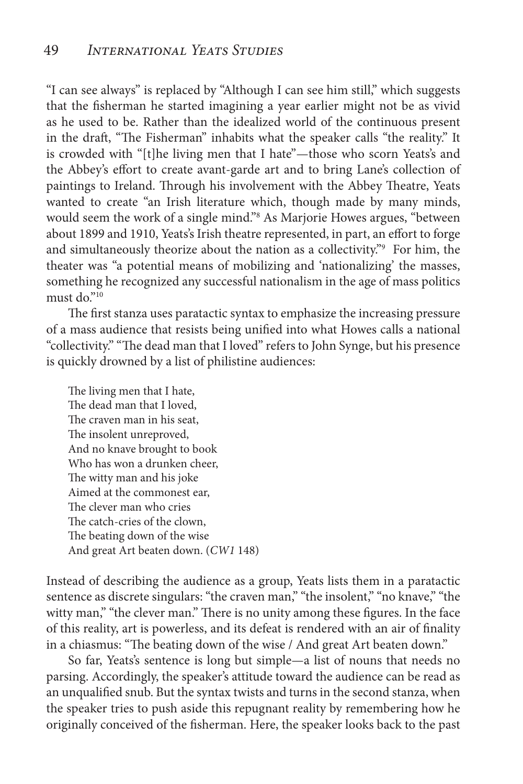"I can see always" is replaced by "Although I can see him still," which suggests that the fisherman he started imagining a year earlier might not be as vivid as he used to be. Rather than the idealized world of the continuous present in the draft, "The Fisherman" inhabits what the speaker calls "the reality." It is crowded with "[t]he living men that I hate"—those who scorn Yeats's and the Abbey's effort to create avant-garde art and to bring Lane's collection of paintings to Ireland. Through his involvement with the Abbey Theatre, Yeats wanted to create "an Irish literature which, though made by many minds, would seem the work of a single mind."<sup>8</sup> As Marjorie Howes argues, "between about 1899 and 1910, Yeats's Irish theatre represented, in part, an effort to forge and simultaneously theorize about the nation as a collectivity."9 For him, the theater was "a potential means of mobilizing and 'nationalizing' the masses, something he recognized any successful nationalism in the age of mass politics must do $"^{10}$ 

The first stanza uses paratactic syntax to emphasize the increasing pressure of a mass audience that resists being unified into what Howes calls a national "collectivity." "The dead man that I loved" refers to John Synge, but his presence is quickly drowned by a list of philistine audiences:

The living men that I hate, The dead man that I loved, The craven man in his seat, The insolent unreproved, And no knave brought to book Who has won a drunken cheer, The witty man and his joke Aimed at the commonest ear, The clever man who cries The catch-cries of the clown, The beating down of the wise And great Art beaten down. (*CW1* 148)

Instead of describing the audience as a group, Yeats lists them in a paratactic sentence as discrete singulars: "the craven man," "the insolent," "no knave," "the witty man," "the clever man." There is no unity among these figures. In the face of this reality, art is powerless, and its defeat is rendered with an air of finality in a chiasmus: "The beating down of the wise / And great Art beaten down."

So far, Yeats's sentence is long but simple—a list of nouns that needs no parsing. Accordingly, the speaker's attitude toward the audience can be read as an unqualified snub. But the syntax twists and turns in the second stanza, when the speaker tries to push aside this repugnant reality by remembering how he originally conceived of the fisherman. Here, the speaker looks back to the past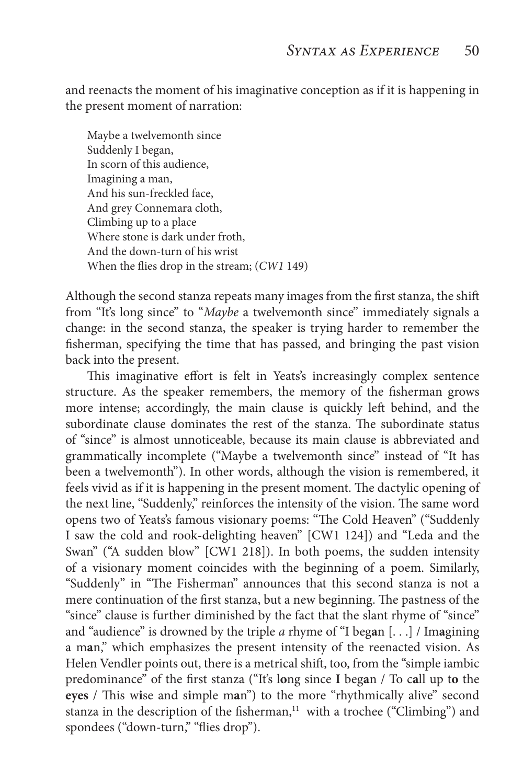and reenacts the moment of his imaginative conception as if it is happening in the present moment of narration:

Maybe a twelvemonth since Suddenly I began, In scorn of this audience, Imagining a man, And his sun-freckled face, And grey Connemara cloth, Climbing up to a place Where stone is dark under froth, And the down-turn of his wrist When the flies drop in the stream; (*CW1* 149)

Although the second stanza repeats many images from the first stanza, the shift from "It's long since" to "*Maybe* a twelvemonth since" immediately signals a change: in the second stanza, the speaker is trying harder to remember the fisherman, specifying the time that has passed, and bringing the past vision back into the present.

This imaginative effort is felt in Yeats's increasingly complex sentence structure. As the speaker remembers, the memory of the fisherman grows more intense; accordingly, the main clause is quickly left behind, and the subordinate clause dominates the rest of the stanza. The subordinate status of "since" is almost unnoticeable, because its main clause is abbreviated and grammatically incomplete ("Maybe a twelvemonth since" instead of "It has been a twelvemonth"). In other words, although the vision is remembered, it feels vivid as if it is happening in the present moment. The dactylic opening of the next line, "Suddenly," reinforces the intensity of the vision. The same word opens two of Yeats's famous visionary poems: "The Cold Heaven" ("Suddenly I saw the cold and rook-delighting heaven" [CW1 124]) and "Leda and the Swan" ("A sudden blow" [CW1 218]). In both poems, the sudden intensity of a visionary moment coincides with the beginning of a poem. Similarly, "Suddenly" in "The Fisherman" announces that this second stanza is not a mere continuation of the first stanza, but a new beginning. The pastness of the "since" clause is further diminished by the fact that the slant rhyme of "since" and "audience" is drowned by the triple *a* rhyme of "I beg**a**n [. . .] / Im**a**gining a m**a**n," which emphasizes the present intensity of the reenacted vision. As Helen Vendler points out, there is a metrical shift, too, from the "simple iambic predominance" of the first stanza ("It's l**o**ng since **I** beg**a**n / To c**a**ll up t**o** the **eyes** / This w**i**se and s**i**mple m**a**n") to the more "rhythmically alive" second stanza in the description of the fisherman,<sup>11</sup> with a trochee ("Climbing") and spondees ("down-turn," "flies drop").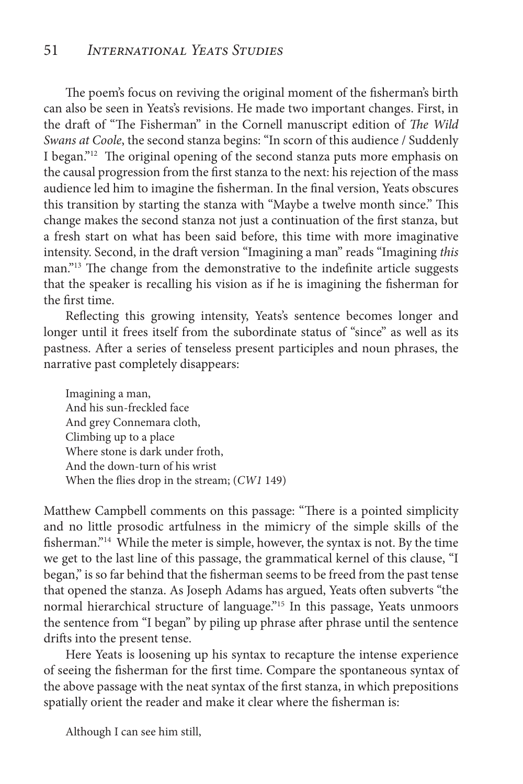## 51 *International Yeats Studies*

The poem's focus on reviving the original moment of the fisherman's birth can also be seen in Yeats's revisions. He made two important changes. First, in the draft of "The Fisherman" in the Cornell manuscript edition of *The Wild Swans at Coole*, the second stanza begins: "In scorn of this audience / Suddenly I began."<sup>12</sup> The original opening of the second stanza puts more emphasis on the causal progression from the first stanza to the next: his rejection of the mass audience led him to imagine the fisherman. In the final version, Yeats obscures this transition by starting the stanza with "Maybe a twelve month since." This change makes the second stanza not just a continuation of the first stanza, but a fresh start on what has been said before, this time with more imaginative intensity. Second, in the draft version "Imagining a man" reads "Imagining *this* man."<sup>13</sup> The change from the demonstrative to the indefinite article suggests that the speaker is recalling his vision as if he is imagining the fisherman for the first time.

Reflecting this growing intensity, Yeats's sentence becomes longer and longer until it frees itself from the subordinate status of "since" as well as its pastness. After a series of tenseless present participles and noun phrases, the narrative past completely disappears:

Imagining a man, And his sun-freckled face And grey Connemara cloth, Climbing up to a place Where stone is dark under froth, And the down-turn of his wrist When the flies drop in the stream; (*CW1* 149)

Matthew Campbell comments on this passage: "There is a pointed simplicity and no little prosodic artfulness in the mimicry of the simple skills of the fisherman."14 While the meter is simple, however, the syntax is not. By the time we get to the last line of this passage, the grammatical kernel of this clause, "I began," is so far behind that the fisherman seems to be freed from the past tense that opened the stanza. As Joseph Adams has argued, Yeats often subverts "the normal hierarchical structure of language."<sup>15</sup> In this passage, Yeats unmoors the sentence from "I began" by piling up phrase after phrase until the sentence drifts into the present tense.

Here Yeats is loosening up his syntax to recapture the intense experience of seeing the fisherman for the first time. Compare the spontaneous syntax of the above passage with the neat syntax of the first stanza, in which prepositions spatially orient the reader and make it clear where the fisherman is:

Although I can see him still,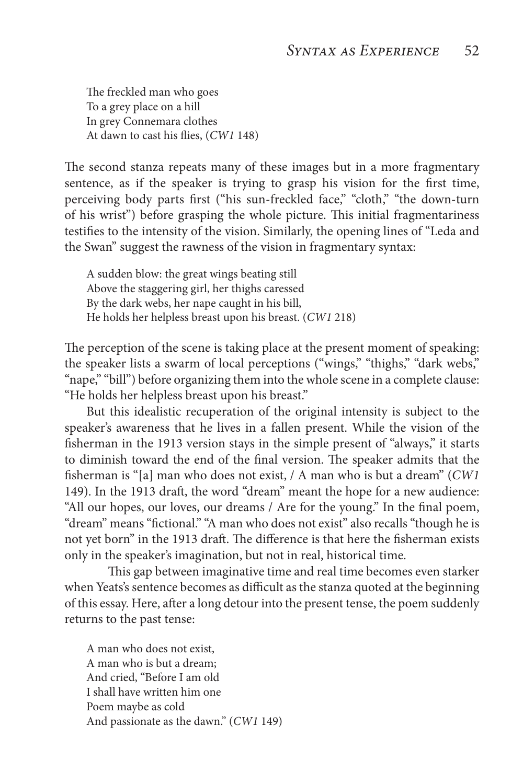The freckled man who goes To a grey place on a hill In grey Connemara clothes At dawn to cast his flies, (*CW1* 148)

The second stanza repeats many of these images but in a more fragmentary sentence, as if the speaker is trying to grasp his vision for the first time, perceiving body parts first ("his sun-freckled face," "cloth," "the down-turn of his wrist") before grasping the whole picture. This initial fragmentariness testifies to the intensity of the vision. Similarly, the opening lines of "Leda and the Swan" suggest the rawness of the vision in fragmentary syntax:

A sudden blow: the great wings beating still Above the staggering girl, her thighs caressed By the dark webs, her nape caught in his bill, He holds her helpless breast upon his breast. (*CW1* 218)

The perception of the scene is taking place at the present moment of speaking: the speaker lists a swarm of local perceptions ("wings," "thighs," "dark webs," "nape," "bill") before organizing them into the whole scene in a complete clause: "He holds her helpless breast upon his breast."

But this idealistic recuperation of the original intensity is subject to the speaker's awareness that he lives in a fallen present. While the vision of the fisherman in the 1913 version stays in the simple present of "always," it starts to diminish toward the end of the final version. The speaker admits that the fisherman is "[a] man who does not exist, / A man who is but a dream" (*CW1* 149). In the 1913 draft, the word "dream" meant the hope for a new audience: "All our hopes, our loves, our dreams / Are for the young." In the final poem, "dream" means "fictional." "A man who does not exist" also recalls "though he is not yet born" in the 1913 draft. The difference is that here the fisherman exists only in the speaker's imagination, but not in real, historical time.

This gap between imaginative time and real time becomes even starker when Yeats's sentence becomes as difficult as the stanza quoted at the beginning of this essay. Here, after a long detour into the present tense, the poem suddenly returns to the past tense:

A man who does not exist, A man who is but a dream; And cried, "Before I am old I shall have written him one Poem maybe as cold And passionate as the dawn." (*CW1* 149)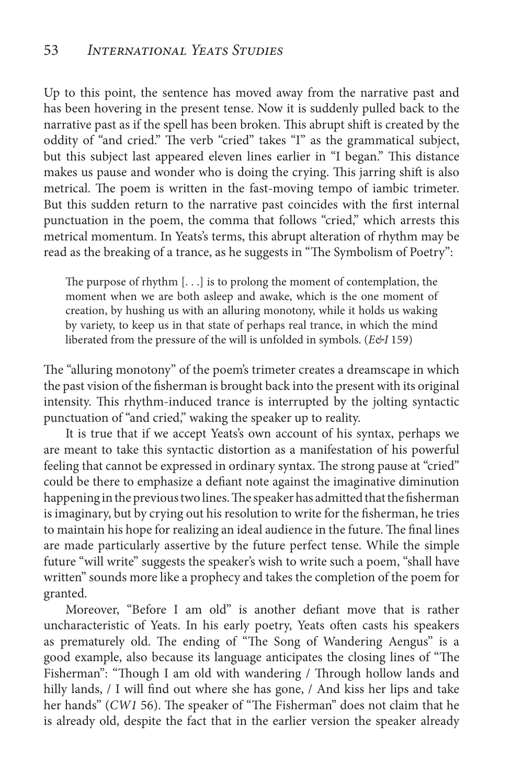Up to this point, the sentence has moved away from the narrative past and has been hovering in the present tense. Now it is suddenly pulled back to the narrative past as if the spell has been broken. This abrupt shift is created by the oddity of "and cried." The verb "cried" takes "I" as the grammatical subject, but this subject last appeared eleven lines earlier in "I began." This distance makes us pause and wonder who is doing the crying. This jarring shift is also metrical. The poem is written in the fast-moving tempo of iambic trimeter. But this sudden return to the narrative past coincides with the first internal punctuation in the poem, the comma that follows "cried," which arrests this metrical momentum. In Yeats's terms, this abrupt alteration of rhythm may be read as the breaking of a trance, as he suggests in "The Symbolism of Poetry":

The purpose of rhythm [. . .] is to prolong the moment of contemplation, the moment when we are both asleep and awake, which is the one moment of creation, by hushing us with an alluring monotony, while it holds us waking by variety, to keep us in that state of perhaps real trance, in which the mind liberated from the pressure of the will is unfolded in symbols. (*E&I* 159)

The "alluring monotony" of the poem's trimeter creates a dreamscape in which the past vision of the fisherman is brought back into the present with its original intensity. This rhythm-induced trance is interrupted by the jolting syntactic punctuation of "and cried," waking the speaker up to reality.

It is true that if we accept Yeats's own account of his syntax, perhaps we are meant to take this syntactic distortion as a manifestation of his powerful feeling that cannot be expressed in ordinary syntax. The strong pause at "cried" could be there to emphasize a defiant note against the imaginative diminution happening in the previous two lines. The speaker has admitted that the fisherman is imaginary, but by crying out his resolution to write for the fisherman, he tries to maintain his hope for realizing an ideal audience in the future. The final lines are made particularly assertive by the future perfect tense. While the simple future "will write" suggests the speaker's wish to write such a poem, "shall have written" sounds more like a prophecy and takes the completion of the poem for granted.

Moreover, "Before I am old" is another defiant move that is rather uncharacteristic of Yeats. In his early poetry, Yeats often casts his speakers as prematurely old. The ending of "The Song of Wandering Aengus" is a good example, also because its language anticipates the closing lines of "The Fisherman": "Though I am old with wandering / Through hollow lands and hilly lands, / I will find out where she has gone, / And kiss her lips and take her hands" (*CW1* 56). The speaker of "The Fisherman" does not claim that he is already old, despite the fact that in the earlier version the speaker already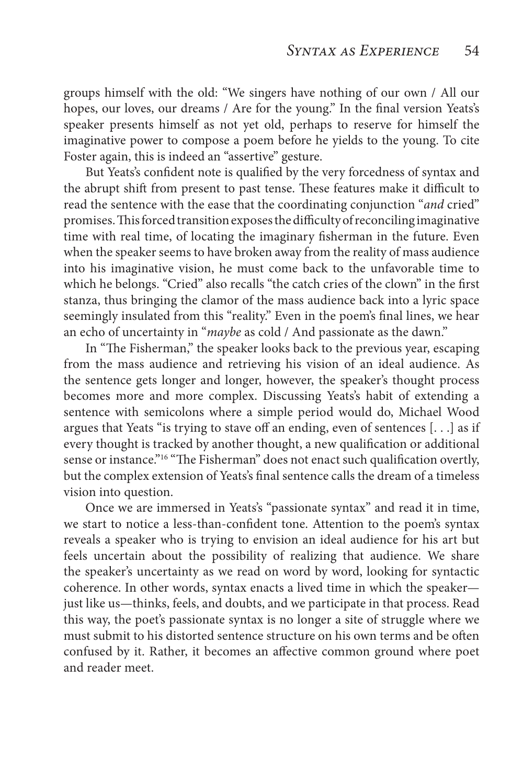groups himself with the old: "We singers have nothing of our own / All our hopes, our loves, our dreams / Are for the young." In the final version Yeats's speaker presents himself as not yet old, perhaps to reserve for himself the imaginative power to compose a poem before he yields to the young. To cite Foster again, this is indeed an "assertive" gesture.

But Yeats's confident note is qualified by the very forcedness of syntax and the abrupt shift from present to past tense. These features make it difficult to read the sentence with the ease that the coordinating conjunction "*and* cried" promises. This forced transition exposes the difficulty of reconciling imaginative time with real time, of locating the imaginary fisherman in the future. Even when the speaker seems to have broken away from the reality of mass audience into his imaginative vision, he must come back to the unfavorable time to which he belongs. "Cried" also recalls "the catch cries of the clown" in the first stanza, thus bringing the clamor of the mass audience back into a lyric space seemingly insulated from this "reality." Even in the poem's final lines, we hear an echo of uncertainty in "*maybe* as cold / And passionate as the dawn."

In "The Fisherman," the speaker looks back to the previous year, escaping from the mass audience and retrieving his vision of an ideal audience. As the sentence gets longer and longer, however, the speaker's thought process becomes more and more complex. Discussing Yeats's habit of extending a sentence with semicolons where a simple period would do, Michael Wood argues that Yeats "is trying to stave off an ending, even of sentences [. . .] as if every thought is tracked by another thought, a new qualification or additional sense or instance."<sup>16</sup> "The Fisherman" does not enact such qualification overtly, but the complex extension of Yeats's final sentence calls the dream of a timeless vision into question.

Once we are immersed in Yeats's "passionate syntax" and read it in time, we start to notice a less-than-confident tone. Attention to the poem's syntax reveals a speaker who is trying to envision an ideal audience for his art but feels uncertain about the possibility of realizing that audience. We share the speaker's uncertainty as we read on word by word, looking for syntactic coherence. In other words, syntax enacts a lived time in which the speaker just like us—thinks, feels, and doubts, and we participate in that process. Read this way, the poet's passionate syntax is no longer a site of struggle where we must submit to his distorted sentence structure on his own terms and be often confused by it. Rather, it becomes an affective common ground where poet and reader meet.